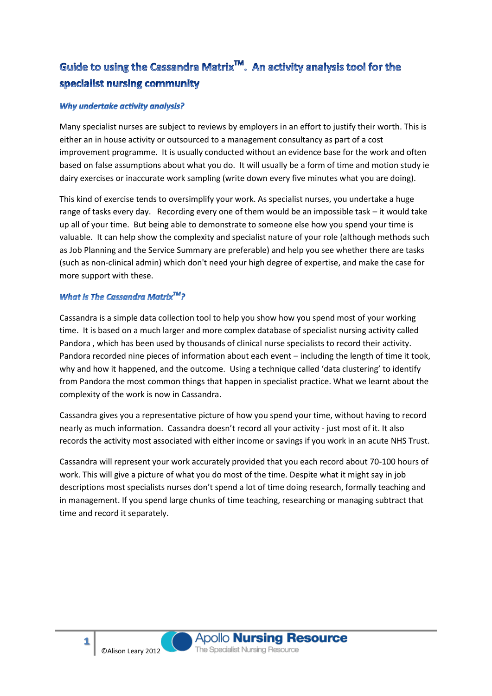# Guide to using the Cassandra Matrix<sup>™</sup>. An activity analysis tool for the specialist nursing community

## Why undertake activity analysis?

Many specialist nurses are subject to reviews by employers in an effort to justify their worth. This is either an in house activity or outsourced to a management consultancy as part of a cost improvement programme. It is usually conducted without an evidence base for the work and often based on false assumptions about what you do. It will usually be a form of time and motion study ie dairy exercises or inaccurate work sampling (write down every five minutes what you are doing).

This kind of exercise tends to oversimplify your work. As specialist nurses, you undertake a huge range of tasks every day. Recording every one of them would be an impossible task – it would take up all of your time. But being able to demonstrate to someone else how you spend your time is valuable. It can help show the complexity and specialist nature of your role (although methods such as Job Planning and the Service Summary are preferable) and help you see whether there are tasks (such as non-clinical admin) which don't need your high degree of expertise, and make the case for more support with these.

# What is The Cassandra Matrix $^{TM}$ ?

Cassandra is a simple data collection tool to help you show how you spend most of your working time. It is based on a much larger and more complex database of specialist nursing activity called Pandora , which has been used by thousands of clinical nurse specialists to record their activity. Pandora recorded nine pieces of information about each event – including the length of time it took, why and how it happened, and the outcome. Using a technique called 'data clustering' to identify from Pandora the most common things that happen in specialist practice. What we learnt about the complexity of the work is now in Cassandra.

Cassandra gives you a representative picture of how you spend your time, without having to record nearly as much information. Cassandra doesn't record all your activity - just most of it. It also records the activity most associated with either income or savings if you work in an acute NHS Trust.

Cassandra will represent your work accurately provided that you each record about 70-100 hours of work. This will give a picture of what you do most of the time. Despite what it might say in job descriptions most specialists nurses don't spend a lot of time doing research, formally teaching and in management. If you spend large chunks of time teaching, researching or managing subtract that time and record it separately.

**1**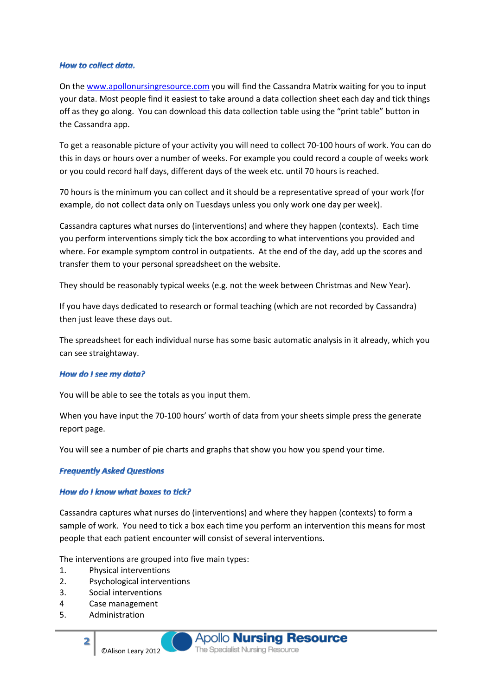#### **How to collect data.**

On the [www.apollonursingresource.com](http://www.apollonursingresource.com/) you will find the Cassandra Matrix waiting for you to input your data. Most people find it easiest to take around a data collection sheet each day and tick things off as they go along. You can download this data collection table using the "print table" button in the Cassandra app.

To get a reasonable picture of your activity you will need to collect 70-100 hours of work. You can do this in days or hours over a number of weeks. For example you could record a couple of weeks work or you could record half days, different days of the week etc. until 70 hours is reached.

70 hours is the minimum you can collect and it should be a representative spread of your work (for example, do not collect data only on Tuesdays unless you only work one day per week).

Cassandra captures what nurses do (interventions) and where they happen (contexts). Each time you perform interventions simply tick the box according to what interventions you provided and where. For example symptom control in outpatients. At the end of the day, add up the scores and transfer them to your personal spreadsheet on the website.

They should be reasonably typical weeks (e.g. not the week between Christmas and New Year).

If you have days dedicated to research or formal teaching (which are not recorded by Cassandra) then just leave these days out.

The spreadsheet for each individual nurse has some basic automatic analysis in it already, which you can see straightaway.

#### How do I see my data?

You will be able to see the totals as you input them.

When you have input the 70-100 hours' worth of data from your sheets simple press the generate report page.

You will see a number of pie charts and graphs that show you how you spend your time.

#### **Frequently Asked Questions**

#### How do I know what boxes to tick?

Cassandra captures what nurses do (interventions) and where they happen (contexts) to form a sample of work. You need to tick a box each time you perform an intervention this means for most people that each patient encounter will consist of several interventions.

The interventions are grouped into five main types:

- 1. Physical interventions
- 2. Psychological interventions

©Alison Leary 2012

- 3. Social interventions
- 4 Case management
- 5. Administration

**2**

**Apollo Nursing Resource** The Specialist Nursing Resource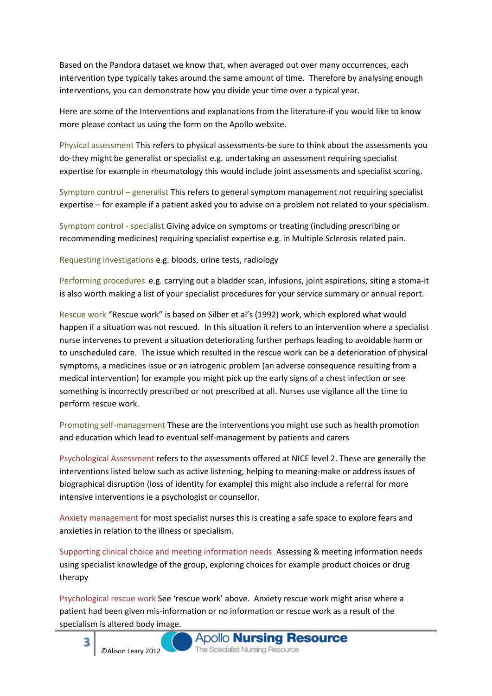Based on the Pandora dataset we know that, when averaged out over many occurrences, each intervention type typically takes around the same amount of time. Therefore by analysing enough interventions, you can demonstrate how you divide your time over a typical year.

Here are some of the Interventions and explanations from the literature-if you would like to know more please contact us using the form on the Apollo website.

Physical assessment This refers to physical assessments-be sure to think about the assessments you do-they might be generalist or specialist e.g. undertaking an assessment requiring specialist expertise for example in rheumatology this would include joint assessments and specialist scoring.

Symptom control – generalist This refers to general symptom management not requiring specialist expertise – for example if a patient asked you to advise on a problem not related to your specialism.

Symptom control - specialist Giving advice on symptoms or treating (including prescribing or recommending medicines) requiring specialist expertise e.g. in Multiple Sclerosis related pain.

Requesting investigations e.g. bloods, urine tests, radiology

Performing procedures e.g. carrying out a bladder scan, infusions, joint aspirations, siting a stoma-it is also worth making a list of your specialist procedures for your service summary or annual report.

Rescue work "Rescue work" is based on Silber et al's (1992) work, which explored what would happen if a situation was not rescued. In this situation it refers to an intervention where a specialist nurse intervenes to prevent a situation deteriorating further perhaps leading to avoidable harm or to unscheduled care. The issue which resulted in the rescue work can be a deterioration of physical symptoms, a medicines issue or an iatrogenic problem (an adverse consequence resulting from a medical intervention) for example you might pick up the early signs of a chest infection or see something is incorrectly prescribed or not prescribed at all. Nurses use vigilance all the time to perform rescue work.

Promoting self-management These are the interventions you might use such as health promotion and education which lead to eventual self-management by patients and carers

Psychological Assessment refers to the assessments offered at NICE level 2. These are generally the interventions listed below such as active listening, helping to meaning-make or address issues of biographical disruption (loss of identity for example) this might also include a referral for more intensive interventions ie a psychologist or counsellor.

Anxiety management for most specialist nurses this is creating a safe space to explore fears and anxieties in relation to the illness or specialism.

Supporting clinical choice and meeting information needs Assessing & meeting information needs using specialist knowledge of the group, exploring choices for example product choices or drug therapy

Psychological rescue work See 'rescue work' above. Anxiety rescue work might arise where a patient had been given mis-information or no information or rescue work as a result of the specialism is altered body image.

**3**

©Alison Leary 2012

**Apollo Nursing Resource** The Specialist Nursing Resource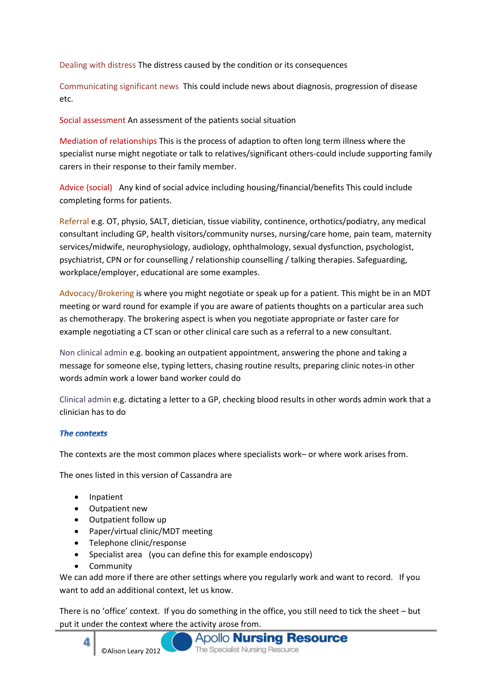Dealing with distress The distress caused by the condition or its consequences

Communicating significant news This could include news about diagnosis, progression of disease etc.

Social assessment An assessment of the patients social situation

Mediation of relationships This is the process of adaption to often long term illness where the specialist nurse might negotiate or talk to relatives/significant others-could include supporting family carers in their response to their family member.

Advice (social) Any kind of social advice including housing/financial/benefits This could include completing forms for patients.

Referral e.g. OT, physio, SALT, dietician, tissue viability, continence, orthotics/podiatry, any medical consultant including GP, health visitors/community nurses, nursing/care home, pain team, maternity services/midwife, neurophysiology, audiology, ophthalmology, sexual dysfunction, psychologist, psychiatrist, CPN or for counselling / relationship counselling / talking therapies. Safeguarding, workplace/employer, educational are some examples.

Advocacy/Brokering is where you might negotiate or speak up for a patient. This might be in an MDT meeting or ward round for example if you are aware of patients thoughts on a particular area such as chemotherapy. The brokering aspect is when you negotiate appropriate or faster care for example negotiating a CT scan or other clinical care such as a referral to a new consultant.

Non clinical admin e.g. booking an outpatient appointment, answering the phone and taking a message for someone else, typing letters, chasing routine results, preparing clinic notes-in other words admin work a lower band worker could do

Clinical admin e.g. dictating a letter to a GP, checking blood results in other words admin work that a clinician has to do

# **The contexts**

The contexts are the most common places where specialists work– or where work arises from.

The ones listed in this version of Cassandra are

- Inpatient
- Outpatient new
- Outpatient follow up
- Paper/virtual clinic/MDT meeting
- Telephone clinic/response
- Specialist area (you can define this for example endoscopy)
- **Community**

We can add more if there are other settings where you regularly work and want to record. If you want to add an additional context, let us know.

There is no 'office' context. If you do something in the office, you still need to tick the sheet – but put it under the context where the activity arose from.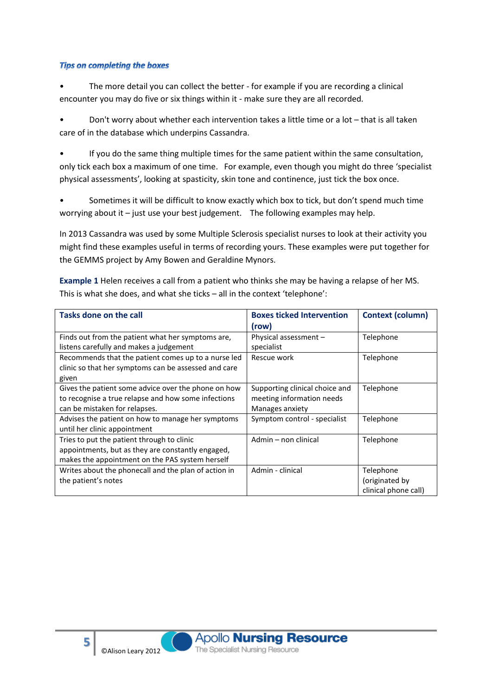## **Tips on completing the boxes**

**5**

The more detail you can collect the better - for example if you are recording a clinical encounter you may do five or six things within it - make sure they are all recorded.

• Don't worry about whether each intervention takes a little time or a lot – that is all taken care of in the database which underpins Cassandra.

• If you do the same thing multiple times for the same patient within the same consultation, only tick each box a maximum of one time. For example, even though you might do three 'specialist physical assessments', looking at spasticity, skin tone and continence, just tick the box once.

• Sometimes it will be difficult to know exactly which box to tick, but don't spend much time worrying about it – just use your best judgement. The following examples may help.

In 2013 Cassandra was used by some Multiple Sclerosis specialist nurses to look at their activity you might find these examples useful in terms of recording yours. These examples were put together for the GEMMS project by Amy Bowen and Geraldine Mynors.

**Example 1** Helen receives a call from a patient who thinks she may be having a relapse of her MS. This is what she does, and what she ticks – all in the context 'telephone':

| <b>Tasks done on the call</b>                        | <b>Boxes ticked Intervention</b> | <b>Context (column)</b> |
|------------------------------------------------------|----------------------------------|-------------------------|
|                                                      | (row)                            |                         |
| Finds out from the patient what her symptoms are,    | Physical assessment -            | Telephone               |
| listens carefully and makes a judgement              | specialist                       |                         |
| Recommends that the patient comes up to a nurse led  | Rescue work                      | Telephone               |
| clinic so that her symptoms can be assessed and care |                                  |                         |
| given                                                |                                  |                         |
| Gives the patient some advice over the phone on how  | Supporting clinical choice and   | Telephone               |
| to recognise a true relapse and how some infections  | meeting information needs        |                         |
| can be mistaken for relapses.                        | Manages anxiety                  |                         |
| Advises the patient on how to manage her symptoms    | Symptom control - specialist     | Telephone               |
| until her clinic appointment                         |                                  |                         |
| Tries to put the patient through to clinic           | Admin - non clinical             | Telephone               |
| appointments, but as they are constantly engaged,    |                                  |                         |
| makes the appointment on the PAS system herself      |                                  |                         |
| Writes about the phonecall and the plan of action in | Admin - clinical                 | Telephone               |
| the patient's notes                                  |                                  | (originated by          |
|                                                      |                                  | clinical phone call)    |